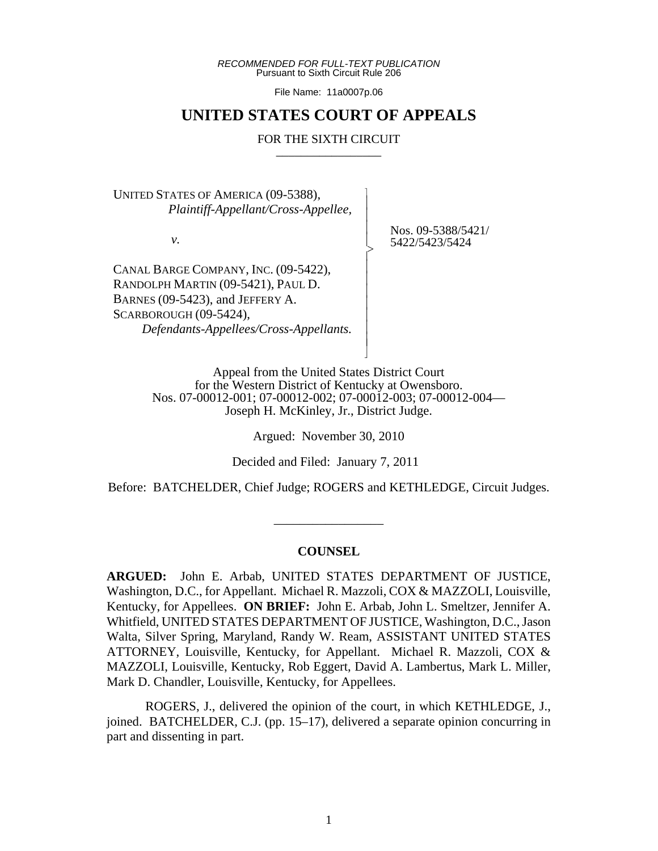*RECOMMENDED FOR FULL-TEXT PUBLICATION* Pursuant to Sixth Circuit Rule 206

File Name: 11a0007p.06

## **UNITED STATES COURT OF APPEALS**

#### FOR THE SIXTH CIRCUIT

 $\overline{\phantom{a}}$ - - - > , - - - - - - - N

UNITED STATES OF AMERICA (09-5388),  *Plaintiff-Appellant/Cross-Appellee,*

*v.*

Nos. 09-5388/5421/ 5422/5423/5424

CANAL BARGE COMPANY, INC. (09-5422), RANDOLPH MARTIN (09-5421), PAUL D. BARNES (09-5423), and JEFFERY A. SCARBOROUGH (09-5424),  *Defendants-Appellees/Cross-Appellants.*

> Appeal from the United States District Court for the Western District of Kentucky at Owensboro. Nos. 07-00012-001; 07-00012-002; 07-00012-003; 07-00012-004— Joseph H. McKinley, Jr., District Judge.

> > Argued: November 30, 2010

Decided and Filed: January 7, 2011

Before: BATCHELDER, Chief Judge; ROGERS and KETHLEDGE, Circuit Judges.

\_\_\_\_\_\_\_\_\_\_\_\_\_\_\_\_\_

#### **COUNSEL**

**ARGUED:** John E. Arbab, UNITED STATES DEPARTMENT OF JUSTICE, Washington, D.C., for Appellant. Michael R. Mazzoli, COX & MAZZOLI, Louisville, Kentucky, for Appellees. **ON BRIEF:** John E. Arbab, John L. Smeltzer, Jennifer A. Whitfield, UNITED STATES DEPARTMENT OF JUSTICE, Washington, D.C., Jason Walta, Silver Spring, Maryland, Randy W. Ream, ASSISTANT UNITED STATES ATTORNEY, Louisville, Kentucky, for Appellant. Michael R. Mazzoli, COX & MAZZOLI, Louisville, Kentucky, Rob Eggert, David A. Lambertus, Mark L. Miller, Mark D. Chandler, Louisville, Kentucky, for Appellees.

ROGERS, J., delivered the opinion of the court, in which KETHLEDGE, J., joined. BATCHELDER, C.J. (pp. 15–17), delivered a separate opinion concurring in part and dissenting in part.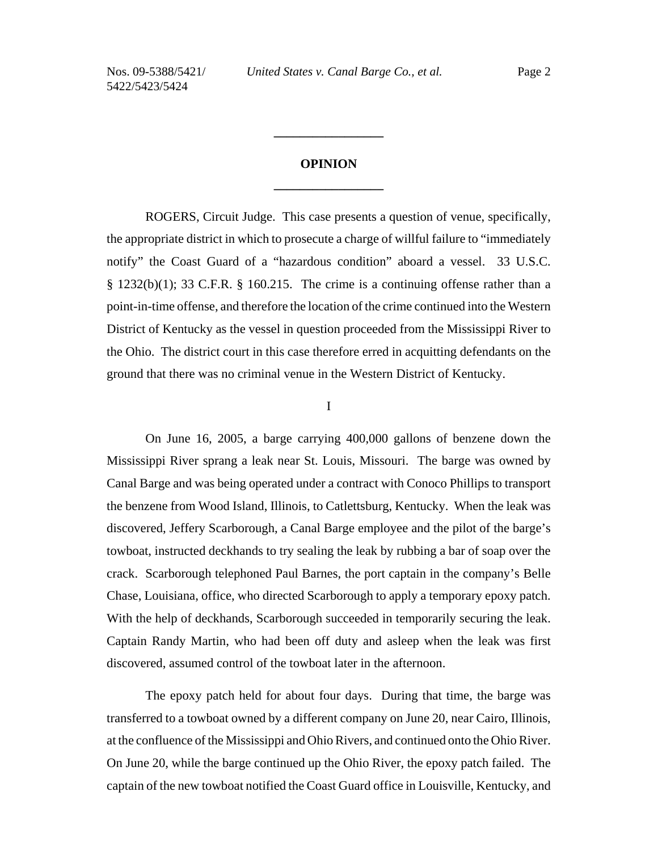# **OPINION \_\_\_\_\_\_\_\_\_\_\_\_\_\_\_\_\_**

**\_\_\_\_\_\_\_\_\_\_\_\_\_\_\_\_\_**

ROGERS, Circuit Judge. This case presents a question of venue, specifically, the appropriate district in which to prosecute a charge of willful failure to "immediately notify" the Coast Guard of a "hazardous condition" aboard a vessel. 33 U.S.C.  $\S$  1232(b)(1); 33 C.F.R.  $\S$  160.215. The crime is a continuing offense rather than a point-in-time offense, and therefore the location of the crime continued into the Western District of Kentucky as the vessel in question proceeded from the Mississippi River to the Ohio. The district court in this case therefore erred in acquitting defendants on the ground that there was no criminal venue in the Western District of Kentucky.

#### I

On June 16, 2005, a barge carrying 400,000 gallons of benzene down the Mississippi River sprang a leak near St. Louis, Missouri. The barge was owned by Canal Barge and was being operated under a contract with Conoco Phillips to transport the benzene from Wood Island, Illinois, to Catlettsburg, Kentucky. When the leak was discovered, Jeffery Scarborough, a Canal Barge employee and the pilot of the barge's towboat, instructed deckhands to try sealing the leak by rubbing a bar of soap over the crack. Scarborough telephoned Paul Barnes, the port captain in the company's Belle Chase, Louisiana, office, who directed Scarborough to apply a temporary epoxy patch. With the help of deckhands, Scarborough succeeded in temporarily securing the leak. Captain Randy Martin, who had been off duty and asleep when the leak was first discovered, assumed control of the towboat later in the afternoon.

The epoxy patch held for about four days. During that time, the barge was transferred to a towboat owned by a different company on June 20, near Cairo, Illinois, at the confluence of the Mississippi and Ohio Rivers, and continued onto the Ohio River. On June 20, while the barge continued up the Ohio River, the epoxy patch failed. The captain of the new towboat notified the Coast Guard office in Louisville, Kentucky, and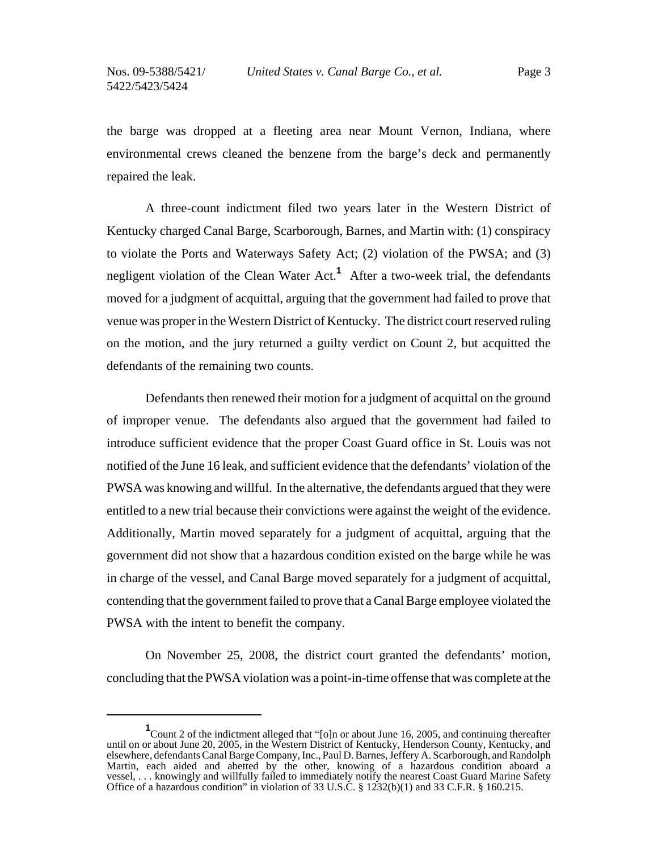the barge was dropped at a fleeting area near Mount Vernon, Indiana, where environmental crews cleaned the benzene from the barge's deck and permanently repaired the leak.

A three-count indictment filed two years later in the Western District of Kentucky charged Canal Barge, Scarborough, Barnes, and Martin with: (1) conspiracy to violate the Ports and Waterways Safety Act; (2) violation of the PWSA; and (3) negligent violation of the Clean Water Act.**<sup>1</sup>** After a two-week trial, the defendants moved for a judgment of acquittal, arguing that the government had failed to prove that venue was proper in the Western District of Kentucky. The district court reserved ruling on the motion, and the jury returned a guilty verdict on Count 2, but acquitted the defendants of the remaining two counts.

Defendants then renewed their motion for a judgment of acquittal on the ground of improper venue. The defendants also argued that the government had failed to introduce sufficient evidence that the proper Coast Guard office in St. Louis was not notified of the June 16 leak, and sufficient evidence that the defendants' violation of the PWSA was knowing and willful. In the alternative, the defendants argued that they were entitled to a new trial because their convictions were against the weight of the evidence. Additionally, Martin moved separately for a judgment of acquittal, arguing that the government did not show that a hazardous condition existed on the barge while he was in charge of the vessel, and Canal Barge moved separately for a judgment of acquittal, contending that the government failed to prove that a Canal Barge employee violated the PWSA with the intent to benefit the company.

On November 25, 2008, the district court granted the defendants' motion, concluding that the PWSA violation was a point-in-time offense that was complete at the

<sup>&</sup>lt;sup>1</sup> Count 2 of the indictment alleged that "[o]n or about June 16, 2005, and continuing thereafter until on or about June 20, 2005, in the Western District of Kentucky, Henderson County, Kentucky, and elsewhere, defendants Canal Barge Company, Inc., Paul D. Barnes, Jeffery A. Scarborough, and Randolph Martin, each aided and abetted by the other, knowing of a hazardous condition aboard a vessel, . . . knowingly and willfully failed to immediately notify the nearest Coast Guard Marine Safety Office of a hazardous condition" in violation of 33 U.S.C.  $\S$  1232(b)(1) and 33 C.F.R.  $\S$  160.215.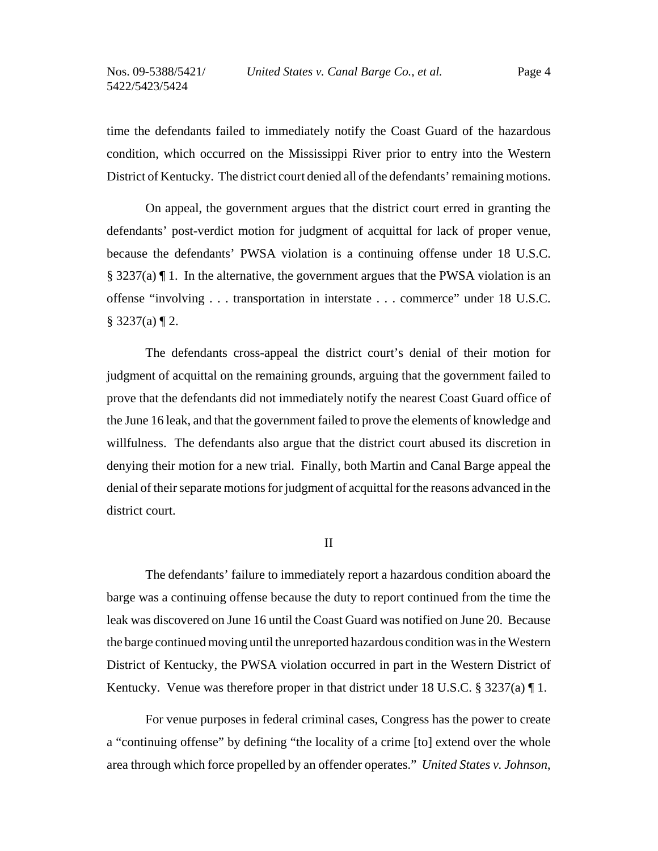time the defendants failed to immediately notify the Coast Guard of the hazardous condition, which occurred on the Mississippi River prior to entry into the Western District of Kentucky. The district court denied all of the defendants' remaining motions.

On appeal, the government argues that the district court erred in granting the defendants' post-verdict motion for judgment of acquittal for lack of proper venue, because the defendants' PWSA violation is a continuing offense under 18 U.S.C. § 3237(a) ¶ 1. In the alternative, the government argues that the PWSA violation is an offense "involving . . . transportation in interstate . . . commerce" under 18 U.S.C.  $\S 3237(a) \P 2$ .

The defendants cross-appeal the district court's denial of their motion for judgment of acquittal on the remaining grounds, arguing that the government failed to prove that the defendants did not immediately notify the nearest Coast Guard office of the June 16 leak, and that the government failed to prove the elements of knowledge and willfulness. The defendants also argue that the district court abused its discretion in denying their motion for a new trial. Finally, both Martin and Canal Barge appeal the denial of their separate motions for judgment of acquittal for the reasons advanced in the district court.

II

The defendants' failure to immediately report a hazardous condition aboard the barge was a continuing offense because the duty to report continued from the time the leak was discovered on June 16 until the Coast Guard was notified on June 20. Because the barge continued moving until the unreported hazardous condition was in the Western District of Kentucky, the PWSA violation occurred in part in the Western District of Kentucky. Venue was therefore proper in that district under 18 U.S.C. § 3237(a) ¶ 1.

For venue purposes in federal criminal cases, Congress has the power to create a "continuing offense" by defining "the locality of a crime [to] extend over the whole area through which force propelled by an offender operates." *United States v. Johnson*,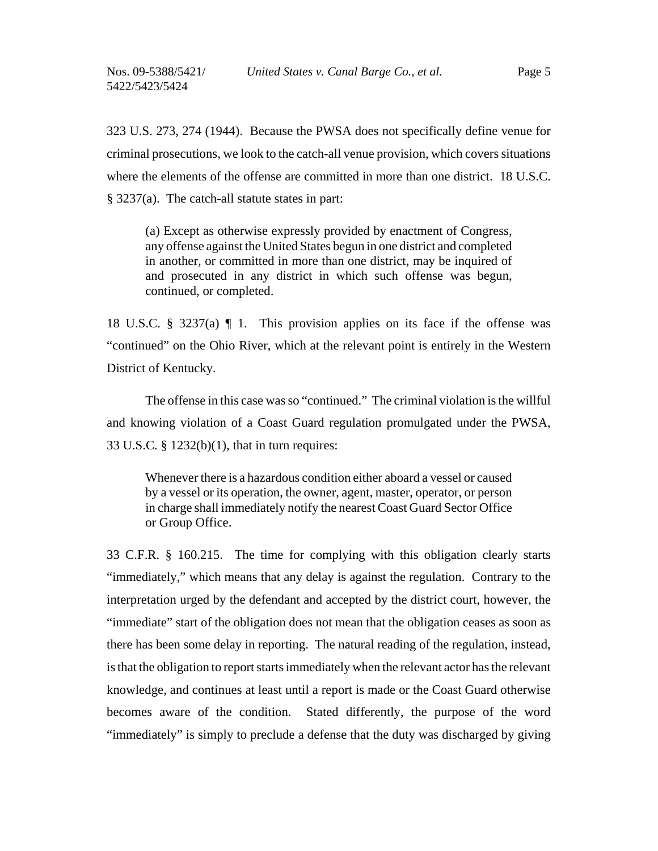323 U.S. 273, 274 (1944). Because the PWSA does not specifically define venue for criminal prosecutions, we look to the catch-all venue provision, which covers situations where the elements of the offense are committed in more than one district. 18 U.S.C. § 3237(a). The catch-all statute states in part:

(a) Except as otherwise expressly provided by enactment of Congress, any offense against the United States begun in one district and completed in another, or committed in more than one district, may be inquired of and prosecuted in any district in which such offense was begun, continued, or completed.

18 U.S.C. § 3237(a) ¶ 1. This provision applies on its face if the offense was "continued" on the Ohio River, which at the relevant point is entirely in the Western District of Kentucky.

The offense in this case was so "continued." The criminal violation is the willful and knowing violation of a Coast Guard regulation promulgated under the PWSA, 33 U.S.C. § 1232(b)(1), that in turn requires:

Whenever there is a hazardous condition either aboard a vessel or caused by a vessel or its operation, the owner, agent, master, operator, or person in charge shall immediately notify the nearest Coast Guard Sector Office or Group Office.

33 C.F.R. § 160.215. The time for complying with this obligation clearly starts "immediately," which means that any delay is against the regulation. Contrary to the interpretation urged by the defendant and accepted by the district court, however, the "immediate" start of the obligation does not mean that the obligation ceases as soon as there has been some delay in reporting. The natural reading of the regulation, instead, is that the obligation to report starts immediately when the relevant actor has the relevant knowledge, and continues at least until a report is made or the Coast Guard otherwise becomes aware of the condition. Stated differently, the purpose of the word "immediately" is simply to preclude a defense that the duty was discharged by giving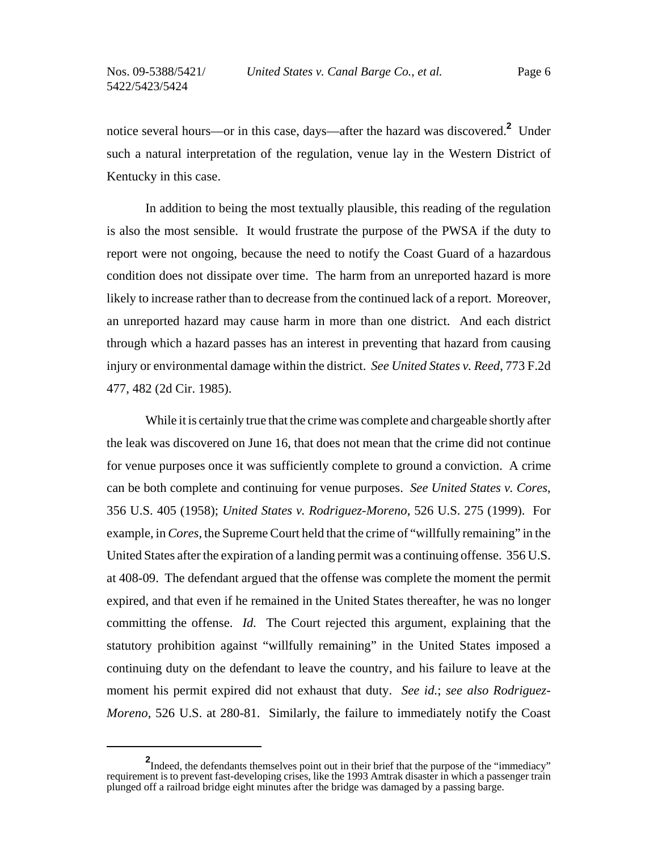notice several hours—or in this case, days—after the hazard was discovered.**<sup>2</sup>** Under such a natural interpretation of the regulation, venue lay in the Western District of Kentucky in this case.

In addition to being the most textually plausible, this reading of the regulation is also the most sensible. It would frustrate the purpose of the PWSA if the duty to report were not ongoing, because the need to notify the Coast Guard of a hazardous condition does not dissipate over time. The harm from an unreported hazard is more likely to increase rather than to decrease from the continued lack of a report. Moreover, an unreported hazard may cause harm in more than one district. And each district through which a hazard passes has an interest in preventing that hazard from causing injury or environmental damage within the district. *See United States v. Reed*, 773 F.2d 477, 482 (2d Cir. 1985).

While it is certainly true that the crime was complete and chargeable shortly after the leak was discovered on June 16, that does not mean that the crime did not continue for venue purposes once it was sufficiently complete to ground a conviction. A crime can be both complete and continuing for venue purposes. *See United States v. Cores*, 356 U.S. 405 (1958); *United States v. Rodriguez-Moreno*, 526 U.S. 275 (1999). For example, in *Cores*, the Supreme Court held that the crime of "willfully remaining" in the United States after the expiration of a landing permit was a continuing offense. 356 U.S. at 408-09. The defendant argued that the offense was complete the moment the permit expired, and that even if he remained in the United States thereafter, he was no longer committing the offense. *Id.* The Court rejected this argument, explaining that the statutory prohibition against "willfully remaining" in the United States imposed a continuing duty on the defendant to leave the country, and his failure to leave at the moment his permit expired did not exhaust that duty. *See id.*; *see also Rodriguez-Moreno*, 526 U.S. at 280-81. Similarly, the failure to immediately notify the Coast

<sup>&</sup>lt;sup>2</sup>Indeed, the defendants themselves point out in their brief that the purpose of the "immediacy" requirement is to prevent fast-developing crises, like the 1993 Amtrak disaster in which a passenger train plunged off a railroad bridge eight minutes after the bridge was damaged by a passing barge.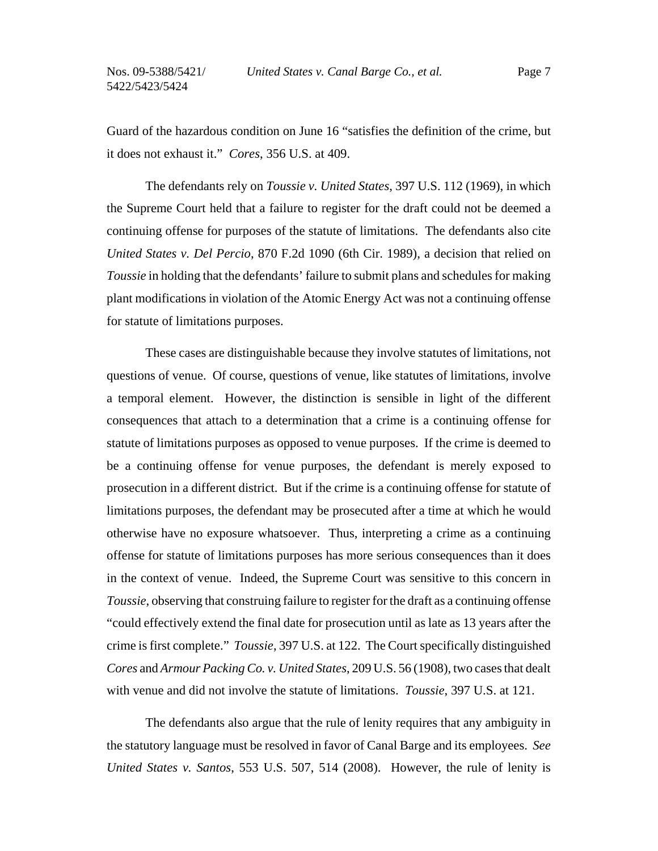Guard of the hazardous condition on June 16 "satisfies the definition of the crime, but it does not exhaust it." *Cores*, 356 U.S. at 409.

The defendants rely on *Toussie v. United States*, 397 U.S. 112 (1969), in which the Supreme Court held that a failure to register for the draft could not be deemed a continuing offense for purposes of the statute of limitations. The defendants also cite *United States v. Del Percio*, 870 F.2d 1090 (6th Cir. 1989), a decision that relied on *Toussie* in holding that the defendants' failure to submit plans and schedules for making plant modifications in violation of the Atomic Energy Act was not a continuing offense for statute of limitations purposes.

These cases are distinguishable because they involve statutes of limitations, not questions of venue. Of course, questions of venue, like statutes of limitations, involve a temporal element. However, the distinction is sensible in light of the different consequences that attach to a determination that a crime is a continuing offense for statute of limitations purposes as opposed to venue purposes. If the crime is deemed to be a continuing offense for venue purposes, the defendant is merely exposed to prosecution in a different district. But if the crime is a continuing offense for statute of limitations purposes, the defendant may be prosecuted after a time at which he would otherwise have no exposure whatsoever. Thus, interpreting a crime as a continuing offense for statute of limitations purposes has more serious consequences than it does in the context of venue. Indeed, the Supreme Court was sensitive to this concern in *Toussie*, observing that construing failure to register for the draft as a continuing offense "could effectively extend the final date for prosecution until as late as 13 years after the crime is first complete." *Toussie*, 397 U.S. at 122. The Court specifically distinguished *Cores* and *Armour Packing Co. v. United States*, 209 U.S. 56 (1908), two cases that dealt with venue and did not involve the statute of limitations. *Toussie*, 397 U.S. at 121.

The defendants also argue that the rule of lenity requires that any ambiguity in the statutory language must be resolved in favor of Canal Barge and its employees. *See United States v. Santos*, 553 U.S. 507, 514 (2008). However, the rule of lenity is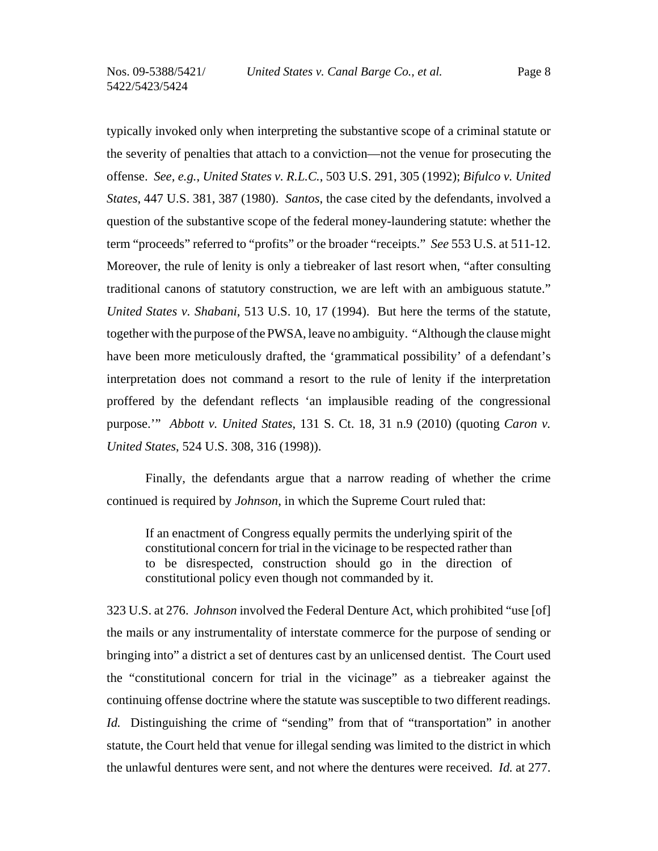typically invoked only when interpreting the substantive scope of a criminal statute or the severity of penalties that attach to a conviction—not the venue for prosecuting the offense. *See, e.g.*, *United States v. R.L.C.*, 503 U.S. 291, 305 (1992); *Bifulco v. United States*, 447 U.S. 381, 387 (1980). *Santos*, the case cited by the defendants, involved a question of the substantive scope of the federal money-laundering statute: whether the term "proceeds" referred to "profits" or the broader "receipts." *See* 553 U.S. at 511-12. Moreover, the rule of lenity is only a tiebreaker of last resort when, "after consulting traditional canons of statutory construction, we are left with an ambiguous statute." *United States v. Shabani*, 513 U.S. 10, 17 (1994). But here the terms of the statute, together with the purpose of the PWSA, leave no ambiguity. "Although the clause might have been more meticulously drafted, the 'grammatical possibility' of a defendant's interpretation does not command a resort to the rule of lenity if the interpretation proffered by the defendant reflects 'an implausible reading of the congressional purpose.'" *Abbott v. United States*, 131 S. Ct. 18, 31 n.9 (2010) (quoting *Caron v. United States*, 524 U.S. 308, 316 (1998)).

Finally, the defendants argue that a narrow reading of whether the crime continued is required by *Johnson*, in which the Supreme Court ruled that:

If an enactment of Congress equally permits the underlying spirit of the constitutional concern for trial in the vicinage to be respected rather than to be disrespected, construction should go in the direction of constitutional policy even though not commanded by it.

323 U.S. at 276. *Johnson* involved the Federal Denture Act, which prohibited "use [of] the mails or any instrumentality of interstate commerce for the purpose of sending or bringing into" a district a set of dentures cast by an unlicensed dentist. The Court used the "constitutional concern for trial in the vicinage" as a tiebreaker against the continuing offense doctrine where the statute was susceptible to two different readings. *Id.* Distinguishing the crime of "sending" from that of "transportation" in another statute, the Court held that venue for illegal sending was limited to the district in which the unlawful dentures were sent, and not where the dentures were received. *Id.* at 277.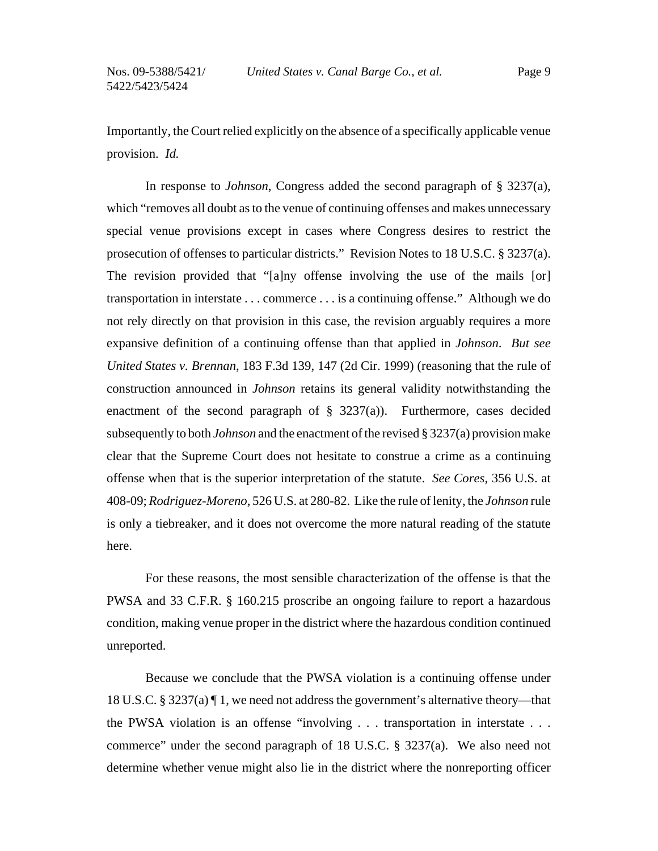Importantly, the Court relied explicitly on the absence of a specifically applicable venue provision. *Id.*

In response to *Johnson*, Congress added the second paragraph of § 3237(a), which "removes all doubt as to the venue of continuing offenses and makes unnecessary special venue provisions except in cases where Congress desires to restrict the prosecution of offenses to particular districts." Revision Notes to 18 U.S.C. § 3237(a). The revision provided that "[a]ny offense involving the use of the mails [or] transportation in interstate . . . commerce . . . is a continuing offense." Although we do not rely directly on that provision in this case, the revision arguably requires a more expansive definition of a continuing offense than that applied in *Johnson*. *But see United States v. Brennan*, 183 F.3d 139, 147 (2d Cir. 1999) (reasoning that the rule of construction announced in *Johnson* retains its general validity notwithstanding the enactment of the second paragraph of  $\S$  3237(a)). Furthermore, cases decided subsequently to both *Johnson* and the enactment of the revised § 3237(a) provision make clear that the Supreme Court does not hesitate to construe a crime as a continuing offense when that is the superior interpretation of the statute. *See Cores*, 356 U.S. at 408-09; *Rodriguez-Moreno*, 526 U.S. at 280-82. Like the rule of lenity, the *Johnson* rule is only a tiebreaker, and it does not overcome the more natural reading of the statute here.

For these reasons, the most sensible characterization of the offense is that the PWSA and 33 C.F.R. § 160.215 proscribe an ongoing failure to report a hazardous condition, making venue proper in the district where the hazardous condition continued unreported.

Because we conclude that the PWSA violation is a continuing offense under 18 U.S.C. § 3237(a) ¶ 1, we need not address the government's alternative theory—that the PWSA violation is an offense "involving . . . transportation in interstate . . . commerce" under the second paragraph of 18 U.S.C. § 3237(a). We also need not determine whether venue might also lie in the district where the nonreporting officer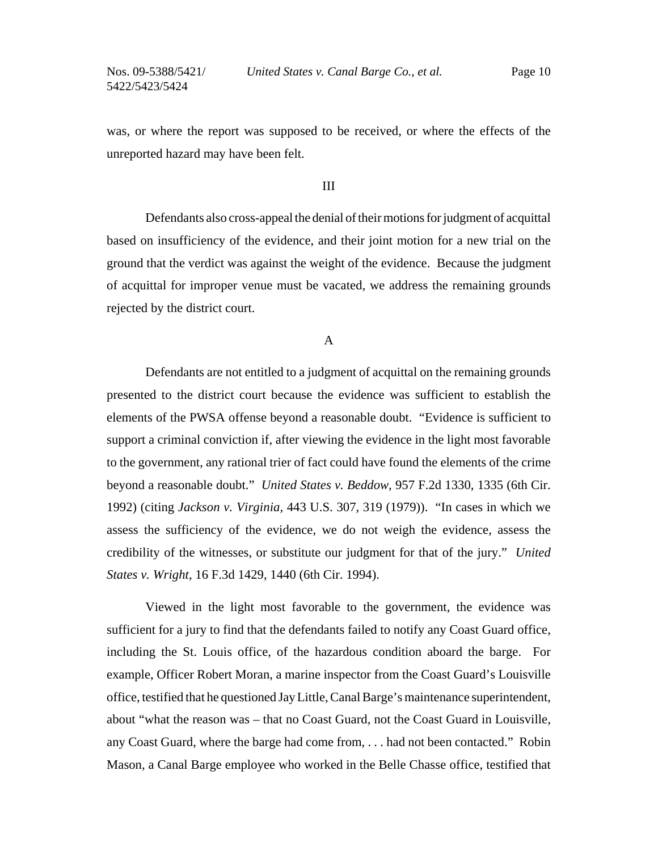was, or where the report was supposed to be received, or where the effects of the unreported hazard may have been felt.

## III

Defendants also cross-appeal the denial of their motions for judgment of acquittal based on insufficiency of the evidence, and their joint motion for a new trial on the ground that the verdict was against the weight of the evidence. Because the judgment of acquittal for improper venue must be vacated, we address the remaining grounds rejected by the district court.

A

Defendants are not entitled to a judgment of acquittal on the remaining grounds presented to the district court because the evidence was sufficient to establish the elements of the PWSA offense beyond a reasonable doubt. "Evidence is sufficient to support a criminal conviction if, after viewing the evidence in the light most favorable to the government, any rational trier of fact could have found the elements of the crime beyond a reasonable doubt." *United States v. Beddow*, 957 F.2d 1330, 1335 (6th Cir. 1992) (citing *Jackson v. Virginia*, 443 U.S. 307, 319 (1979)). "In cases in which we assess the sufficiency of the evidence, we do not weigh the evidence, assess the credibility of the witnesses, or substitute our judgment for that of the jury." *United States v. Wright*, 16 F.3d 1429, 1440 (6th Cir. 1994).

Viewed in the light most favorable to the government, the evidence was sufficient for a jury to find that the defendants failed to notify any Coast Guard office, including the St. Louis office, of the hazardous condition aboard the barge. For example, Officer Robert Moran, a marine inspector from the Coast Guard's Louisville office, testified that he questioned Jay Little, Canal Barge's maintenance superintendent, about "what the reason was – that no Coast Guard, not the Coast Guard in Louisville, any Coast Guard, where the barge had come from, . . . had not been contacted." Robin Mason, a Canal Barge employee who worked in the Belle Chasse office, testified that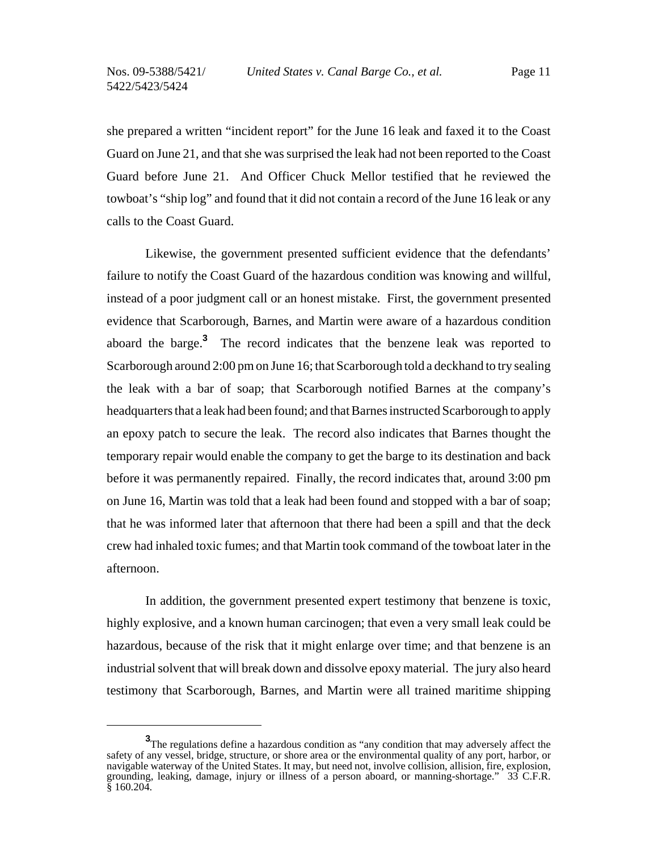she prepared a written "incident report" for the June 16 leak and faxed it to the Coast Guard on June 21, and that she was surprised the leak had not been reported to the Coast Guard before June 21. And Officer Chuck Mellor testified that he reviewed the towboat's "ship log" and found that it did not contain a record of the June 16 leak or any calls to the Coast Guard.

Likewise, the government presented sufficient evidence that the defendants' failure to notify the Coast Guard of the hazardous condition was knowing and willful, instead of a poor judgment call or an honest mistake. First, the government presented evidence that Scarborough, Barnes, and Martin were aware of a hazardous condition aboard the barge.**<sup>3</sup>** The record indicates that the benzene leak was reported to Scarborough around 2:00 pm on June 16; that Scarborough told a deckhand to try sealing the leak with a bar of soap; that Scarborough notified Barnes at the company's headquarters that a leak had been found; and that Barnes instructed Scarborough to apply an epoxy patch to secure the leak. The record also indicates that Barnes thought the temporary repair would enable the company to get the barge to its destination and back before it was permanently repaired. Finally, the record indicates that, around 3:00 pm on June 16, Martin was told that a leak had been found and stopped with a bar of soap; that he was informed later that afternoon that there had been a spill and that the deck crew had inhaled toxic fumes; and that Martin took command of the towboat later in the afternoon.

In addition, the government presented expert testimony that benzene is toxic, highly explosive, and a known human carcinogen; that even a very small leak could be hazardous, because of the risk that it might enlarge over time; and that benzene is an industrial solvent that will break down and dissolve epoxy material. The jury also heard testimony that Scarborough, Barnes, and Martin were all trained maritime shipping

**<sup>3</sup>** The regulations define a hazardous condition as "any condition that may adversely affect the safety of any vessel, bridge, structure, or shore area or the environmental quality of any port, harbor, or navigable waterway of the United States. It may, but need not, involve collision, allision, fire, explosion, grounding, leaking, damage, injury or illness of a person aboard, or manning-shortage." 33 C.F.R.  $$160.204$ .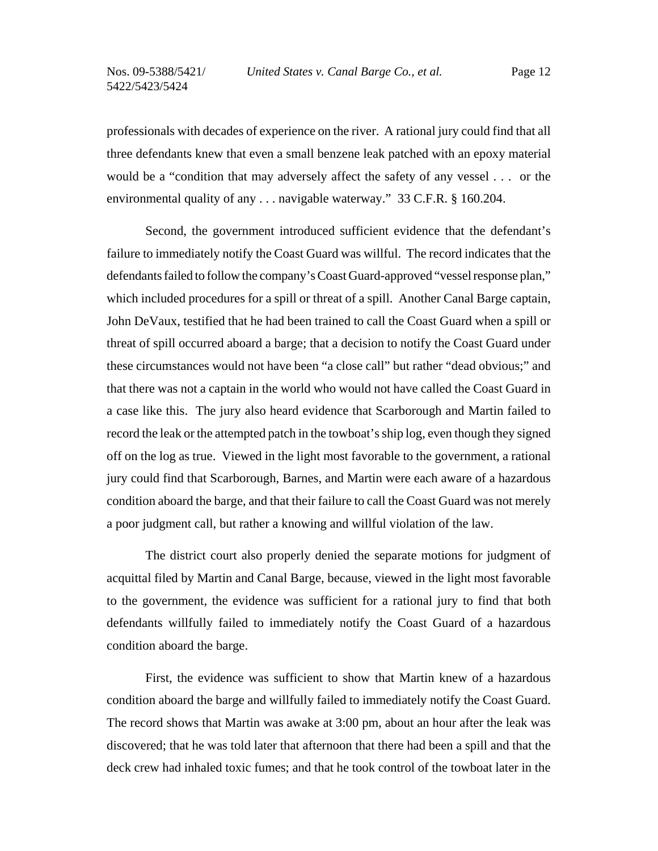professionals with decades of experience on the river. A rational jury could find that all three defendants knew that even a small benzene leak patched with an epoxy material would be a "condition that may adversely affect the safety of any vessel . . . or the environmental quality of any . . . navigable waterway." 33 C.F.R. § 160.204.

Second, the government introduced sufficient evidence that the defendant's failure to immediately notify the Coast Guard was willful. The record indicates that the defendants failed to follow the company's Coast Guard-approved "vessel response plan," which included procedures for a spill or threat of a spill. Another Canal Barge captain, John DeVaux, testified that he had been trained to call the Coast Guard when a spill or threat of spill occurred aboard a barge; that a decision to notify the Coast Guard under these circumstances would not have been "a close call" but rather "dead obvious;" and that there was not a captain in the world who would not have called the Coast Guard in a case like this. The jury also heard evidence that Scarborough and Martin failed to record the leak or the attempted patch in the towboat's ship log, even though they signed off on the log as true. Viewed in the light most favorable to the government, a rational jury could find that Scarborough, Barnes, and Martin were each aware of a hazardous condition aboard the barge, and that their failure to call the Coast Guard was not merely a poor judgment call, but rather a knowing and willful violation of the law.

The district court also properly denied the separate motions for judgment of acquittal filed by Martin and Canal Barge, because, viewed in the light most favorable to the government, the evidence was sufficient for a rational jury to find that both defendants willfully failed to immediately notify the Coast Guard of a hazardous condition aboard the barge.

First, the evidence was sufficient to show that Martin knew of a hazardous condition aboard the barge and willfully failed to immediately notify the Coast Guard. The record shows that Martin was awake at 3:00 pm, about an hour after the leak was discovered; that he was told later that afternoon that there had been a spill and that the deck crew had inhaled toxic fumes; and that he took control of the towboat later in the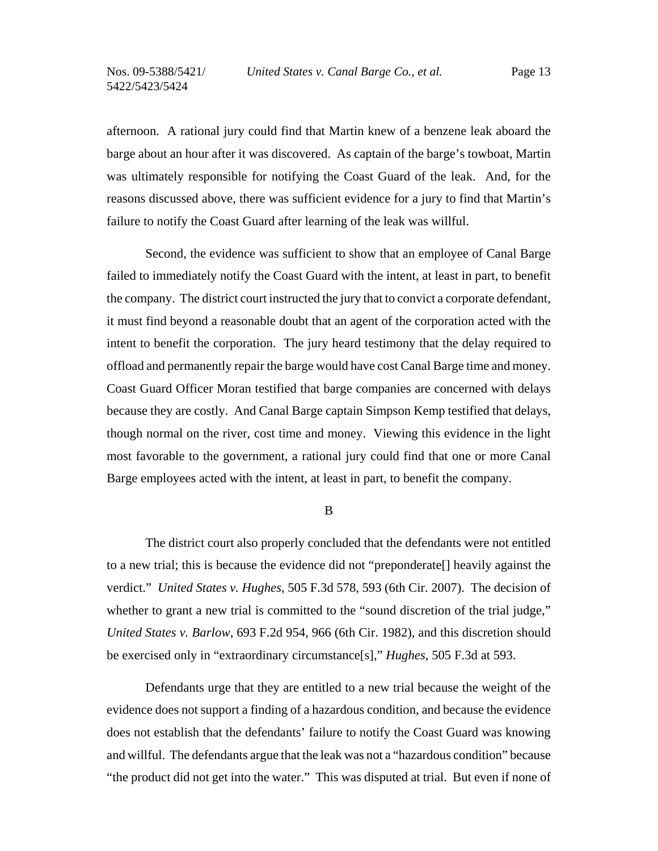Nos. 09-5388/5421/ 5422/5423/5424

afternoon. A rational jury could find that Martin knew of a benzene leak aboard the barge about an hour after it was discovered. As captain of the barge's towboat, Martin was ultimately responsible for notifying the Coast Guard of the leak. And, for the reasons discussed above, there was sufficient evidence for a jury to find that Martin's failure to notify the Coast Guard after learning of the leak was willful.

Second, the evidence was sufficient to show that an employee of Canal Barge failed to immediately notify the Coast Guard with the intent, at least in part, to benefit the company. The district court instructed the jury that to convict a corporate defendant, it must find beyond a reasonable doubt that an agent of the corporation acted with the intent to benefit the corporation. The jury heard testimony that the delay required to offload and permanently repair the barge would have cost Canal Barge time and money. Coast Guard Officer Moran testified that barge companies are concerned with delays because they are costly. And Canal Barge captain Simpson Kemp testified that delays, though normal on the river, cost time and money. Viewing this evidence in the light most favorable to the government, a rational jury could find that one or more Canal Barge employees acted with the intent, at least in part, to benefit the company.

B

The district court also properly concluded that the defendants were not entitled to a new trial; this is because the evidence did not "preponderate[] heavily against the verdict." *United States v. Hughes*, 505 F.3d 578, 593 (6th Cir. 2007). The decision of whether to grant a new trial is committed to the "sound discretion of the trial judge," *United States v. Barlow*, 693 F.2d 954, 966 (6th Cir. 1982), and this discretion should be exercised only in "extraordinary circumstance[s]," *Hughes*, 505 F.3d at 593.

Defendants urge that they are entitled to a new trial because the weight of the evidence does not support a finding of a hazardous condition, and because the evidence does not establish that the defendants' failure to notify the Coast Guard was knowing and willful. The defendants argue that the leak was not a "hazardous condition" because "the product did not get into the water." This was disputed at trial. But even if none of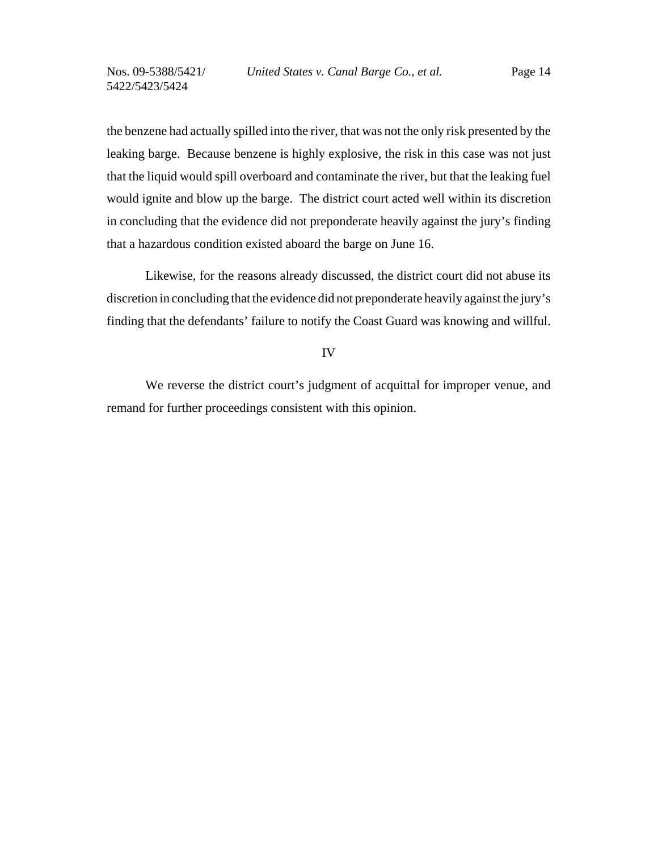the benzene had actually spilled into the river, that was not the only risk presented by the leaking barge. Because benzene is highly explosive, the risk in this case was not just that the liquid would spill overboard and contaminate the river, but that the leaking fuel would ignite and blow up the barge. The district court acted well within its discretion in concluding that the evidence did not preponderate heavily against the jury's finding that a hazardous condition existed aboard the barge on June 16.

 Likewise, for the reasons already discussed, the district court did not abuse its discretion in concluding that the evidence did not preponderate heavily against the jury's finding that the defendants' failure to notify the Coast Guard was knowing and willful.

### IV

We reverse the district court's judgment of acquittal for improper venue, and remand for further proceedings consistent with this opinion.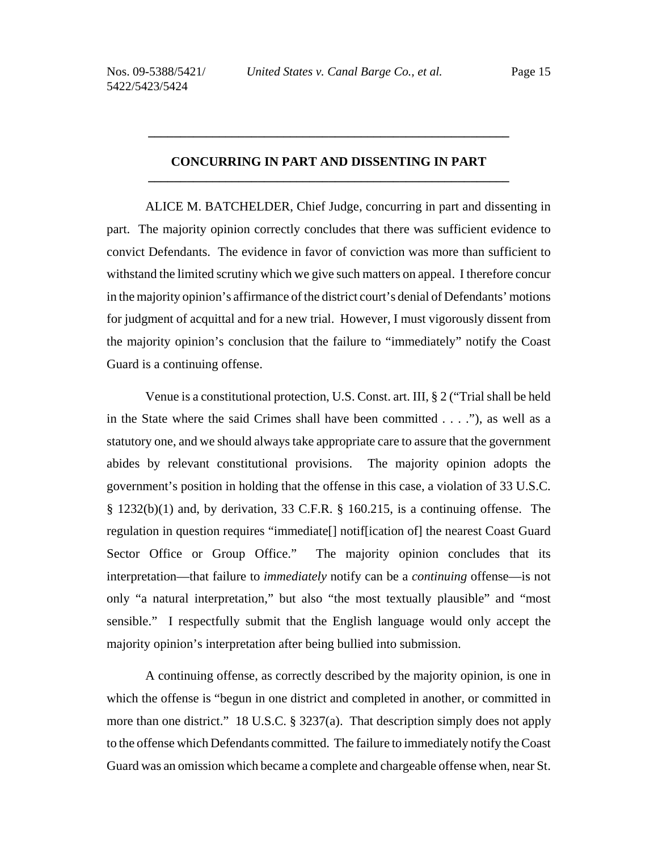## **CONCURRING IN PART AND DISSENTING IN PART \_\_\_\_\_\_\_\_\_\_\_\_\_\_\_\_\_\_\_\_\_\_\_\_\_\_\_\_\_\_\_\_\_\_\_\_\_\_\_\_\_\_\_\_\_\_\_\_\_\_\_\_\_\_\_\_**

**\_\_\_\_\_\_\_\_\_\_\_\_\_\_\_\_\_\_\_\_\_\_\_\_\_\_\_\_\_\_\_\_\_\_\_\_\_\_\_\_\_\_\_\_\_\_\_\_\_\_\_\_\_\_\_\_**

ALICE M. BATCHELDER, Chief Judge, concurring in part and dissenting in part. The majority opinion correctly concludes that there was sufficient evidence to convict Defendants. The evidence in favor of conviction was more than sufficient to withstand the limited scrutiny which we give such matters on appeal. I therefore concur in the majority opinion's affirmance of the district court's denial of Defendants' motions for judgment of acquittal and for a new trial. However, I must vigorously dissent from the majority opinion's conclusion that the failure to "immediately" notify the Coast Guard is a continuing offense.

Venue is a constitutional protection, U.S. Const. art. III, § 2 ("Trial shall be held in the State where the said Crimes shall have been committed . . . ."), as well as a statutory one, and we should always take appropriate care to assure that the government abides by relevant constitutional provisions. The majority opinion adopts the government's position in holding that the offense in this case, a violation of 33 U.S.C. § 1232(b)(1) and, by derivation, 33 C.F.R. § 160.215, is a continuing offense. The regulation in question requires "immediate[] notif[ication of] the nearest Coast Guard Sector Office or Group Office." The majority opinion concludes that its interpretation—that failure to *immediately* notify can be a *continuing* offense—is not only "a natural interpretation," but also "the most textually plausible" and "most sensible." I respectfully submit that the English language would only accept the majority opinion's interpretation after being bullied into submission.

A continuing offense, as correctly described by the majority opinion, is one in which the offense is "begun in one district and completed in another, or committed in more than one district." 18 U.S.C. § 3237(a). That description simply does not apply to the offense which Defendants committed. The failure to immediately notify the Coast Guard was an omission which became a complete and chargeable offense when, near St.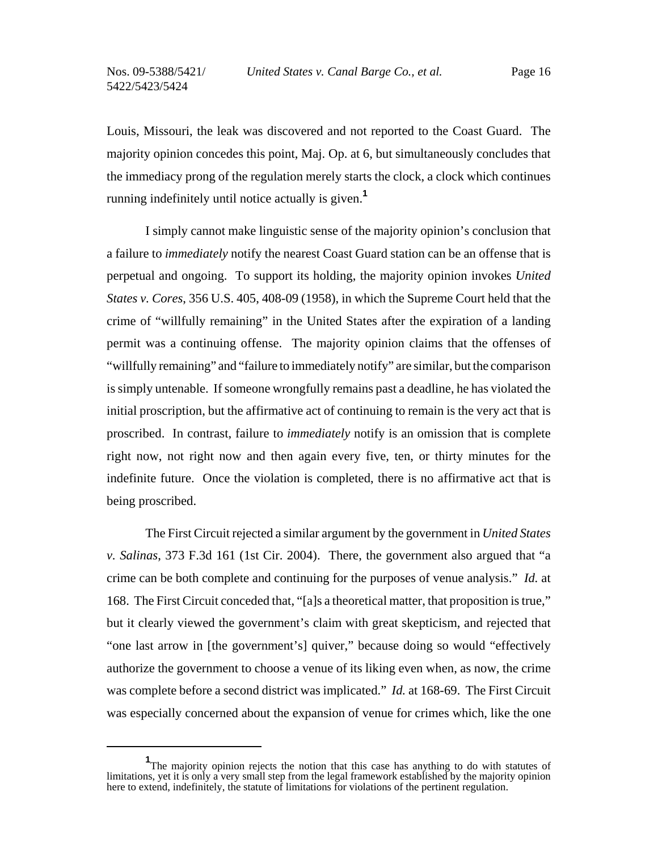Louis, Missouri, the leak was discovered and not reported to the Coast Guard. The majority opinion concedes this point, Maj. Op. at 6, but simultaneously concludes that the immediacy prong of the regulation merely starts the clock, a clock which continues running indefinitely until notice actually is given.**<sup>1</sup>**

I simply cannot make linguistic sense of the majority opinion's conclusion that a failure to *immediately* notify the nearest Coast Guard station can be an offense that is perpetual and ongoing. To support its holding, the majority opinion invokes *United States v. Cores*, 356 U.S. 405, 408-09 (1958), in which the Supreme Court held that the crime of "willfully remaining" in the United States after the expiration of a landing permit was a continuing offense. The majority opinion claims that the offenses of "willfully remaining" and "failure to immediately notify" are similar, but the comparison is simply untenable. If someone wrongfully remains past a deadline, he has violated the initial proscription, but the affirmative act of continuing to remain is the very act that is proscribed. In contrast, failure to *immediately* notify is an omission that is complete right now, not right now and then again every five, ten, or thirty minutes for the indefinite future. Once the violation is completed, there is no affirmative act that is being proscribed.

The First Circuit rejected a similar argument by the government in *United States v. Salinas*, 373 F.3d 161 (1st Cir. 2004). There, the government also argued that "a crime can be both complete and continuing for the purposes of venue analysis." *Id.* at 168. The First Circuit conceded that, "[a]s a theoretical matter, that proposition is true," but it clearly viewed the government's claim with great skepticism, and rejected that "one last arrow in [the government's] quiver," because doing so would "effectively authorize the government to choose a venue of its liking even when, as now, the crime was complete before a second district was implicated." *Id.* at 168-69. The First Circuit was especially concerned about the expansion of venue for crimes which, like the one

<sup>&</sup>lt;sup>1</sup>The majority opinion rejects the notion that this case has anything to do with statutes of limitations, yet it is only a very small step from the legal framework established by the majority opinion here to extend, indefinitely, the statute of limitations for violations of the pertinent regulation.